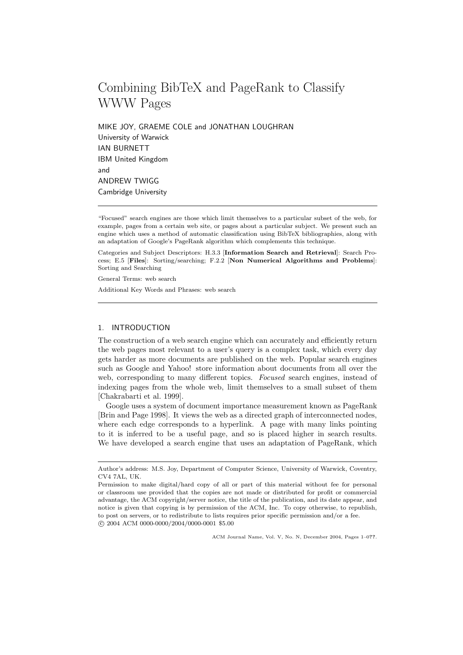# Combining BibTeX and PageRank to Classify WWW Pages

MIKE JOY, GRAEME COLE and JONATHAN LOUGHRAN University of Warwick IAN BURNETT IBM United Kingdom and ANDREW TWIGG Cambridge University

Categories and Subject Descriptors: H.3.3 [Information Search and Retrieval]: Search Process; E.5 [Files]: Sorting/searching; F.2.2 [Non Numerical Algorithms and Problems]: Sorting and Searching

General Terms: web search

Additional Key Words and Phrases: web search

# 1. INTRODUCTION

The construction of a web search engine which can accurately and efficiently return the web pages most relevant to a user's query is a complex task, which every day gets harder as more documents are published on the web. Popular search engines such as Google and Yahoo! store information about documents from all over the web, corresponding to many different topics. Focused search engines, instead of indexing pages from the whole web, limit themselves to a small subset of them [Chakrabarti et al. 1999].

Google uses a system of document importance measurement known as PageRank [Brin and Page 1998]. It views the web as a directed graph of interconnected nodes, where each edge corresponds to a hyperlink. A page with many links pointing to it is inferred to be a useful page, and so is placed higher in search results. We have developed a search engine that uses an adaptation of PageRank, which

ACM Journal Name, Vol. V, No. N, December 2004, Pages 1–0??.

<sup>&</sup>quot;Focused" search engines are those which limit themselves to a particular subset of the web, for example, pages from a certain web site, or pages about a particular subject. We present such an engine which uses a method of automatic classification using BibTeX bibliographies, along with an adaptation of Google's PageRank algorithm which complements this technique.

Author's address: M.S. Joy, Department of Computer Science, University of Warwick, Coventry, CV4 7AL, UK.

Permission to make digital/hard copy of all or part of this material without fee for personal or classroom use provided that the copies are not made or distributed for profit or commercial advantage, the ACM copyright/server notice, the title of the publication, and its date appear, and notice is given that copying is by permission of the ACM, Inc. To copy otherwise, to republish, to post on servers, or to redistribute to lists requires prior specific permission and/or a fee. c 2004 ACM 0000-0000/2004/0000-0001 \$5.00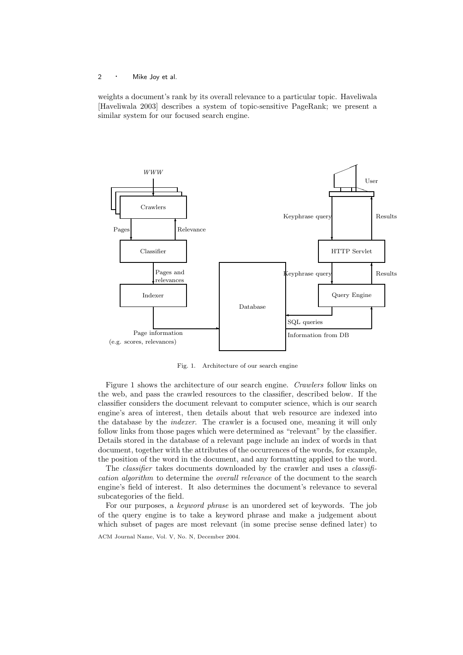weights a document's rank by its overall relevance to a particular topic. Haveliwala [Haveliwala 2003] describes a system of topic-sensitive PageRank; we present a similar system for our focused search engine.



Fig. 1. Architecture of our search engine

Figure 1 shows the architecture of our search engine. Crawlers follow links on the web, and pass the crawled resources to the classifier, described below. If the classifier considers the document relevant to computer science, which is our search engine's area of interest, then details about that web resource are indexed into the database by the indexer. The crawler is a focused one, meaning it will only follow links from those pages which were determined as "relevant" by the classifier. Details stored in the database of a relevant page include an index of words in that document, together with the attributes of the occurrences of the words, for example, the position of the word in the document, and any formatting applied to the word.

The *classifier* takes documents downloaded by the crawler and uses a *classifi*cation algorithm to determine the overall relevance of the document to the search engine's field of interest. It also determines the document's relevance to several subcategories of the field.

For our purposes, a keyword phrase is an unordered set of keywords. The job of the query engine is to take a keyword phrase and make a judgement about which subset of pages are most relevant (in some precise sense defined later) to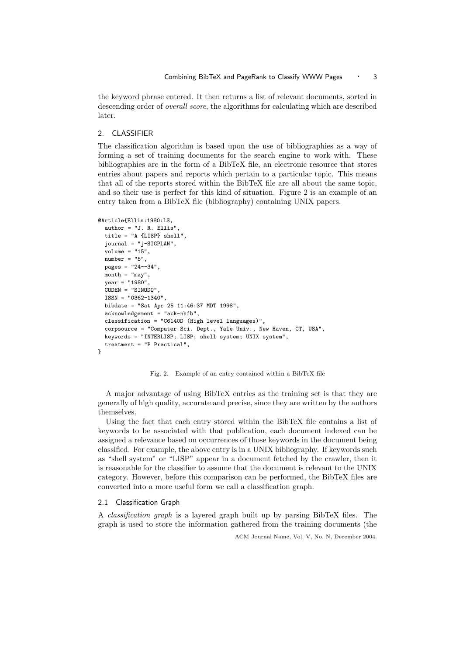the keyword phrase entered. It then returns a list of relevant documents, sorted in descending order of overall score, the algorithms for calculating which are described later.

#### 2. CLASSIFIER

The classification algorithm is based upon the use of bibliographies as a way of forming a set of training documents for the search engine to work with. These bibliographies are in the form of a BibTeX file, an electronic resource that stores entries about papers and reports which pertain to a particular topic. This means that all of the reports stored within the BibTeX file are all about the same topic, and so their use is perfect for this kind of situation. Figure 2 is an example of an entry taken from a BibTeX file (bibliography) containing UNIX papers.

```
@Article{Ellis:1980:LS,
```

```
\text{author} = "J. R. Ellis"title = "A {LISP} shell",
  journal = "j-SIGPLAN",
  volume = "15",
  number = "5",
  pages = "24--34",
  month = "may",
 year = "1980",CODEN = "SINODQ",
  ISSN = "0362-1340",
  bibdate = "Sat Apr 25 11:46:37 MDT 1998",
  acknowledgement = "ack-nhfb",
  classification = "C6140D (High level languages)",
  corpsource = "Computer Sci. Dept., Yale Univ., New Haven, CT, USA",
  keywords = "INTERLISP; LISP; shell system; UNIX system",
  treatment = "P Practical",
}
```
#### Fig. 2. Example of an entry contained within a BibTeX file

A major advantage of using BibTeX entries as the training set is that they are generally of high quality, accurate and precise, since they are written by the authors themselves.

Using the fact that each entry stored within the BibTeX file contains a list of keywords to be associated with that publication, each document indexed can be assigned a relevance based on occurrences of those keywords in the document being classified. For example, the above entry is in a UNIX bibliography. If keywords such as "shell system" or "LISP" appear in a document fetched by the crawler, then it is reasonable for the classifier to assume that the document is relevant to the UNIX category. However, before this comparison can be performed, the BibTeX files are converted into a more useful form we call a classification graph.

#### 2.1 Classification Graph

A classification graph is a layered graph built up by parsing BibTeX files. The graph is used to store the information gathered from the training documents (the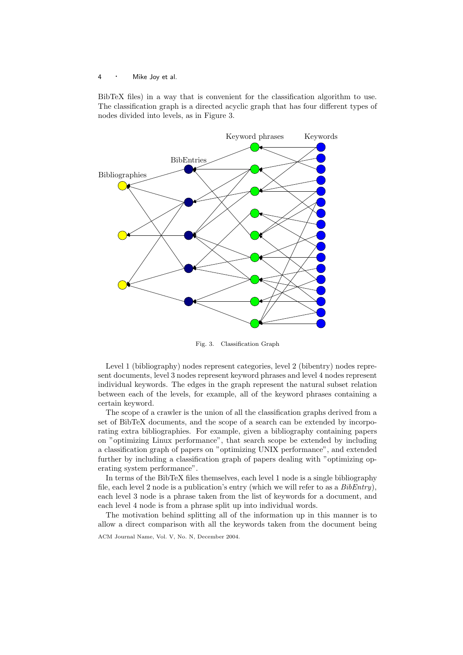BibTeX files) in a way that is convenient for the classification algorithm to use. The classification graph is a directed acyclic graph that has four different types of nodes divided into levels, as in Figure 3.



Fig. 3. Classification Graph

Level 1 (bibliography) nodes represent categories, level 2 (bibentry) nodes represent documents, level 3 nodes represent keyword phrases and level 4 nodes represent individual keywords. The edges in the graph represent the natural subset relation between each of the levels, for example, all of the keyword phrases containing a certain keyword.

The scope of a crawler is the union of all the classification graphs derived from a set of BibTeX documents, and the scope of a search can be extended by incorporating extra bibliographies. For example, given a bibliography containing papers on "optimizing Linux performance", that search scope be extended by including a classification graph of papers on "optimizing UNIX performance", and extended further by including a classification graph of papers dealing with "optimizing operating system performance".

In terms of the BibTeX files themselves, each level 1 node is a single bibliography file, each level 2 node is a publication's entry (which we will refer to as a  $BibEntry$ ), each level 3 node is a phrase taken from the list of keywords for a document, and each level 4 node is from a phrase split up into individual words.

The motivation behind splitting all of the information up in this manner is to allow a direct comparison with all the keywords taken from the document being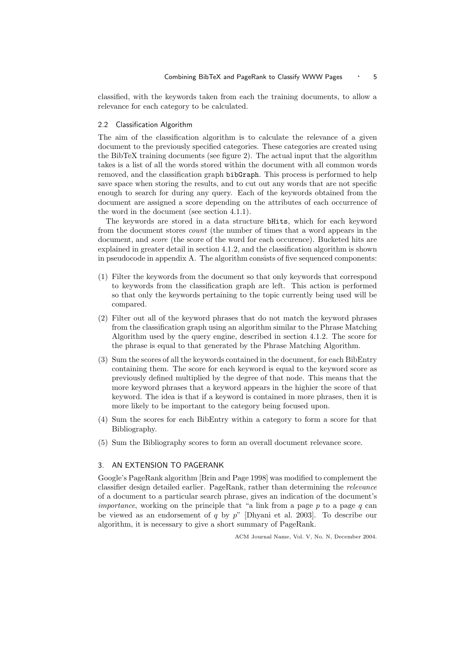classified, with the keywords taken from each the training documents, to allow a relevance for each category to be calculated.

#### 2.2 Classification Algorithm

The aim of the classification algorithm is to calculate the relevance of a given document to the previously specified categories. These categories are created using the BibTeX training documents (see figure 2). The actual input that the algorithm takes is a list of all the words stored within the document with all common words removed, and the classification graph bibGraph. This process is performed to help save space when storing the results, and to cut out any words that are not specific enough to search for during any query. Each of the keywords obtained from the document are assigned a score depending on the attributes of each occurrence of the word in the document (see section 4.1.1).

The keywords are stored in a data structure bHits, which for each keyword from the document stores count (the number of times that a word appears in the document, and score (the score of the word for each occurence). Bucketed hits are explained in greater detail in section 4.1.2, and the classification algorithm is shown in pseudocode in appendix A. The algorithm consists of five sequenced components:

- (1) Filter the keywords from the document so that only keywords that correspond to keywords from the classification graph are left. This action is performed so that only the keywords pertaining to the topic currently being used will be compared.
- (2) Filter out all of the keyword phrases that do not match the keyword phrases from the classification graph using an algorithm similar to the Phrase Matching Algorithm used by the query engine, described in section 4.1.2. The score for the phrase is equal to that generated by the Phrase Matching Algorithm.
- (3) Sum the scores of all the keywords contained in the document, for each BibEntry containing them. The score for each keyword is equal to the keyword score as previously defined multiplied by the degree of that node. This means that the more keyword phrases that a keyword appears in the highier the score of that keyword. The idea is that if a keyword is contained in more phrases, then it is more likely to be important to the category being focused upon.
- (4) Sum the scores for each BibEntry within a category to form a score for that Bibliography.
- (5) Sum the Bibliography scores to form an overall document relevance score.

## 3. AN EXTENSION TO PAGERANK

Google's PageRank algorithm [Brin and Page 1998] was modified to complement the classifier design detailed earlier. PageRank, rather than determining the relevance of a document to a particular search phrase, gives an indication of the document's *importance*, working on the principle that "a link from a page  $p$  to a page  $q$  can be viewed as an endorsement of q by  $p^{\prime\prime}$  [Dhyani et al. 2003]. To describe our algorithm, it is necessary to give a short summary of PageRank.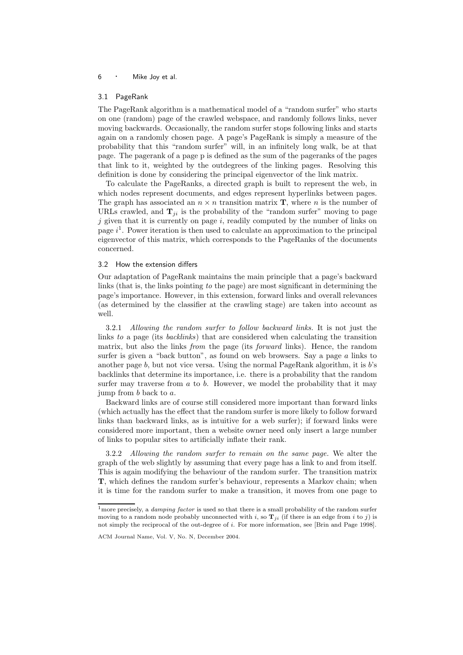#### 3.1 PageRank

The PageRank algorithm is a mathematical model of a "random surfer" who starts on one (random) page of the crawled webspace, and randomly follows links, never moving backwards. Occasionally, the random surfer stops following links and starts again on a randomly chosen page. A page's PageRank is simply a measure of the probability that this "random surfer" will, in an infinitely long walk, be at that page. The pagerank of a page p is defined as the sum of the pageranks of the pages that link to it, weighted by the outdegrees of the linking pages. Resolving this definition is done by considering the principal eigenvector of the link matrix.

To calculate the PageRanks, a directed graph is built to represent the web, in which nodes represent documents, and edges represent hyperlinks between pages. The graph has associated an  $n \times n$  transition matrix **T**, where n is the number of URLs crawled, and  $T_{ji}$  is the probability of the "random surfer" moving to page  $j$  given that it is currently on page i, readily computed by the number of links on page  $i^1$ . Power iteration is then used to calculate an approximation to the principal eigenvector of this matrix, which corresponds to the PageRanks of the documents concerned.

#### 3.2 How the extension differs

Our adaptation of PageRank maintains the main principle that a page's backward links (that is, the links pointing to the page) are most significant in determining the page's importance. However, in this extension, forward links and overall relevances (as determined by the classifier at the crawling stage) are taken into account as well.

3.2.1 Allowing the random surfer to follow backward links. It is not just the links to a page (its backlinks) that are considered when calculating the transition matrix, but also the links from the page (its forward links). Hence, the random surfer is given a "back button", as found on web browsers. Say a page  $\alpha$  links to another page  $b$ , but not vice versa. Using the normal PageRank algorithm, it is  $b$ 's backlinks that determine its importance, i.e. there is a probability that the random surfer may traverse from  $a$  to  $b$ . However, we model the probability that it may jump from b back to a.

Backward links are of course still considered more important than forward links (which actually has the effect that the random surfer is more likely to follow forward links than backward links, as is intuitive for a web surfer); if forward links were considered more important, then a website owner need only insert a large number of links to popular sites to artificially inflate their rank.

3.2.2 Allowing the random surfer to remain on the same page. We alter the graph of the web slightly by assuming that every page has a link to and from itself. This is again modifying the behaviour of the random surfer. The transition matrix T, which defines the random surfer's behaviour, represents a Markov chain; when it is time for the random surfer to make a transition, it moves from one page to

<sup>&</sup>lt;sup>1</sup>more precisely, a *damping factor* is used so that there is a small probability of the random surfer moving to a random node probably unconnected with i, so  $\mathbf{T}_{ii}$  (if there is an edge from i to j) is not simply the reciprocal of the out-degree of i. For more information, see [Brin and Page 1998].

ACM Journal Name, Vol. V, No. N, December 2004.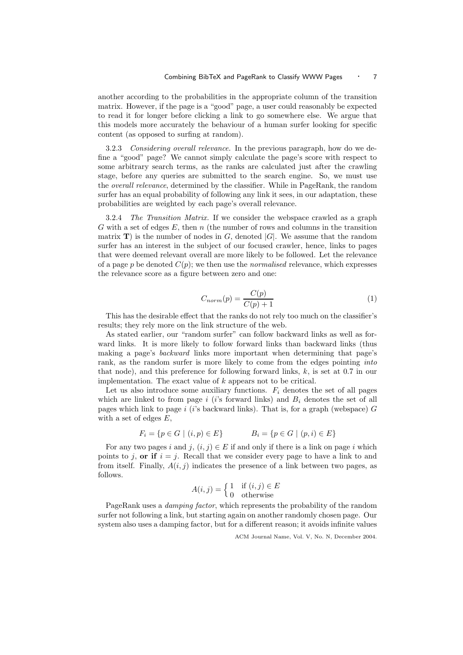another according to the probabilities in the appropriate column of the transition matrix. However, if the page is a "good" page, a user could reasonably be expected to read it for longer before clicking a link to go somewhere else. We argue that this models more accurately the behaviour of a human surfer looking for specific content (as opposed to surfing at random).

3.2.3 Considering overall relevance. In the previous paragraph, how do we define a "good" page? We cannot simply calculate the page's score with respect to some arbitrary search terms, as the ranks are calculated just after the crawling stage, before any queries are submitted to the search engine. So, we must use the overall relevance, determined by the classifier. While in PageRank, the random surfer has an equal probability of following any link it sees, in our adaptation, these probabilities are weighted by each page's overall relevance.

3.2.4 The Transition Matrix. If we consider the webspace crawled as a graph G with a set of edges E, then n (the number of rows and columns in the transition matrix  $\mathbf{T}$ ) is the number of nodes in G, denoted |G|. We assume that the random surfer has an interest in the subject of our focused crawler, hence, links to pages that were deemed relevant overall are more likely to be followed. Let the relevance of a page p be denoted  $C(p)$ ; we then use the *normalised* relevance, which expresses the relevance score as a figure between zero and one:

$$
C_{norm}(p) = \frac{C(p)}{C(p) + 1} \tag{1}
$$

This has the desirable effect that the ranks do not rely too much on the classifier's results; they rely more on the link structure of the web.

As stated earlier, our "random surfer" can follow backward links as well as forward links. It is more likely to follow forward links than backward links (thus making a page's backward links more important when determining that page's rank, as the random surfer is more likely to come from the edges pointing *into* that node), and this preference for following forward links, k, is set at 0.7 in our implementation. The exact value of k appears not to be critical.

Let us also introduce some auxiliary functions.  $F_i$  denotes the set of all pages which are linked to from page  $i$  (i's forward links) and  $B_i$  denotes the set of all pages which link to page i (i's backward links). That is, for a graph (webspace)  $G$ with a set of edges E,

$$
F_i = \{ p \in G \mid (i, p) \in E \}
$$

$$
B_i = \{ p \in G \mid (p, i) \in E \}
$$

For any two pages i and j,  $(i, j) \in E$  if and only if there is a link on page i which points to j, or if  $i = j$ . Recall that we consider every page to have a link to and from itself. Finally,  $A(i, j)$  indicates the presence of a link between two pages, as follows.

$$
A(i,j) = \begin{cases} 1 & \text{if } (i,j) \in E \\ 0 & \text{otherwise} \end{cases}
$$

PageRank uses a damping factor, which represents the probability of the random surfer not following a link, but starting again on another randomly chosen page. Our system also uses a damping factor, but for a different reason; it avoids infinite values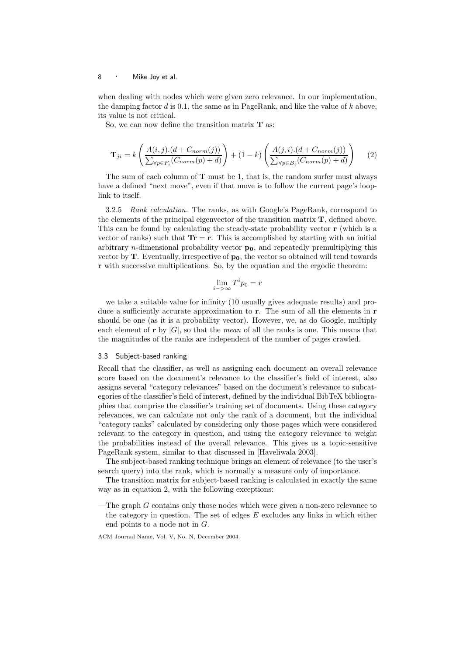when dealing with nodes which were given zero relevance. In our implementation, the damping factor  $d$  is 0.1, the same as in PageRank, and like the value of  $k$  above, its value is not critical.

So, we can now define the transition matrix  $T$  as:

$$
\mathbf{T}_{ji} = k \left( \frac{A(i,j).(d + C_{norm}(j))}{\sum_{\forall p \in F_i} (C_{norm}(p) + d)} \right) + (1 - k) \left( \frac{A(j,i).(d + C_{norm}(j))}{\sum_{\forall p \in B_i} (C_{norm}(p) + d)} \right) \tag{2}
$$

The sum of each column of  **must be 1, that is, the random surfer must always** have a defined "next move", even if that move is to follow the current page's looplink to itself.

3.2.5 Rank calculation. The ranks, as with Google's PageRank, correspond to the elements of the principal eigenvector of the transition matrix T, defined above. This can be found by calculating the steady-state probability vector r (which is a vector of ranks) such that  $\text{Tr} = \text{r}$ . This is accomplished by starting with an initial arbitrary *n*-dimensional probability vector  $p_0$ , and repeatedly premultiplying this vector by  $\mathbf{T}$ . Eventually, irrespective of  $\mathbf{p}_0$ , the vector so obtained will tend towards r with successive multiplications. So, by the equation and the ergodic theorem:

$$
\lim_{i->\infty} T^i p_0 = r
$$

we take a suitable value for infinity (10 usually gives adequate results) and produce a sufficiently accurate approximation to **r**. The sum of all the elements in **r** should be one (as it is a probability vector). However, we, as do Google, multiply each element of **r** by  $|G|$ , so that the *mean* of all the ranks is one. This means that the magnitudes of the ranks are independent of the number of pages crawled.

#### 3.3 Subject-based ranking

Recall that the classifier, as well as assigning each document an overall relevance score based on the document's relevance to the classifier's field of interest, also assigns several "category relevances" based on the document's relevance to subcategories of the classifier's field of interest, defined by the individual BibTeX bibliographies that comprise the classifier's training set of documents. Using these category relevances, we can calculate not only the rank of a document, but the individual "category ranks" calculated by considering only those pages which were considered relevant to the category in question, and using the category relevance to weight the probabilities instead of the overall relevance. This gives us a topic-sensitive PageRank system, similar to that discussed in [Haveliwala 2003].

The subject-based ranking technique brings an element of relevance (to the user's search query) into the rank, which is normally a measure only of importance.

The transition matrix for subject-based ranking is calculated in exactly the same way as in equation 2, with the following exceptions:

—The graph  $G$  contains only those nodes which were given a non-zero relevance to the category in question. The set of edges  $E$  excludes any links in which either end points to a node not in G.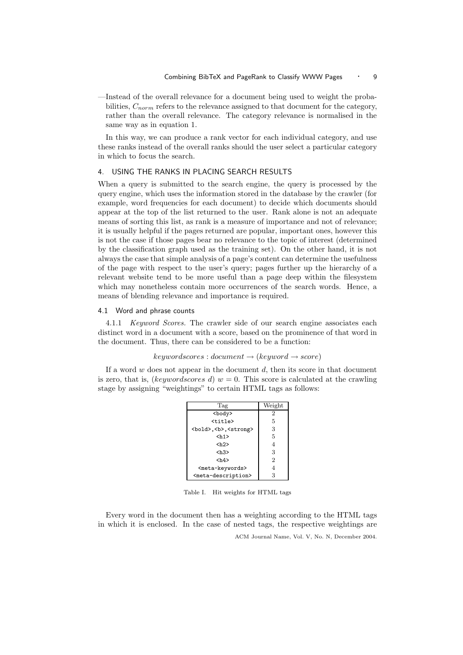—Instead of the overall relevance for a document being used to weight the probabilities,  $C_{norm}$  refers to the relevance assigned to that document for the category, rather than the overall relevance. The category relevance is normalised in the same way as in equation 1.

In this way, we can produce a rank vector for each individual category, and use these ranks instead of the overall ranks should the user select a particular category in which to focus the search.

#### 4. USING THE RANKS IN PLACING SEARCH RESULTS

When a query is submitted to the search engine, the query is processed by the query engine, which uses the information stored in the database by the crawler (for example, word frequencies for each document) to decide which documents should appear at the top of the list returned to the user. Rank alone is not an adequate means of sorting this list, as rank is a measure of importance and not of relevance; it is usually helpful if the pages returned are popular, important ones, however this is not the case if those pages bear no relevance to the topic of interest (determined by the classification graph used as the training set). On the other hand, it is not always the case that simple analysis of a page's content can determine the usefulness of the page with respect to the user's query; pages further up the hierarchy of a relevant website tend to be more useful than a page deep within the filesystem which may nonetheless contain more occurrences of the search words. Hence, a means of blending relevance and importance is required.

#### 4.1 Word and phrase counts

4.1.1 *Keyword Scores.* The crawler side of our search engine associates each distinct word in a document with a score, based on the prominence of that word in the document. Thus, there can be considered to be a function:

 $keywordscores: document \rightarrow (keyword \rightarrow score)$ 

If a word  $w$  does not appear in the document  $d$ , then its score in that document is zero, that is, (keywordscores d)  $w = 0$ . This score is calculated at the crawling stage by assigning "weightings" to certain HTML tags as follows:

| Tag                                       | Weight         |
|-------------------------------------------|----------------|
| <body></body>                             | $\overline{2}$ |
| <title></title>                           | 5              |
| <bold>, <b>, <strong></strong></b></bold> | 3              |
| <h1></h1>                                 | 5              |
| $\langle h2 \rangle$                      | $\overline{4}$ |
| $\langle h3 \rangle$                      | 3              |
| $\langle h4 \rangle$                      | $\overline{2}$ |
| <meta-keywords></meta-keywords>           | $\overline{4}$ |
| <meta-description></meta-description>     | 3              |

Table I. Hit weights for HTML tags

Every word in the document then has a weighting according to the HTML tags in which it is enclosed. In the case of nested tags, the respective weightings are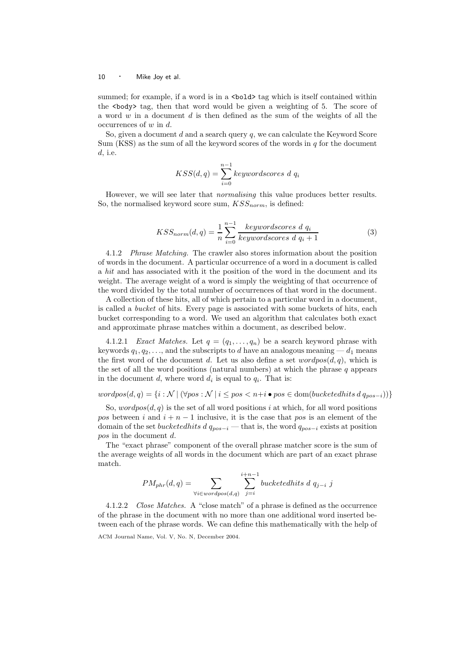summed; for example, if a word is in a <br/>  $\delta$  tag which is itself contained within the  $\delta$ body  $\delta$  tag, then that word would be given a weighting of 5. The score of a word w in a document  $d$  is then defined as the sum of the weights of all the occurrences of  $w$  in  $d$ .

So, given a document  $d$  and a search query  $q$ , we can calculate the Keyword Score Sum (KSS) as the sum of all the keyword scores of the words in  $q$  for the document d, i.e.

$$
KSS(d, q) = \sum_{i=0}^{n-1} key words cores \ d \ q_i
$$

However, we will see later that normalising this value produces better results. So, the normalised keyword score sum,  $KSS_{norm}$ , is defined:

$$
KSS_{norm}(d,q) = \frac{1}{n} \sum_{i=0}^{n-1} \frac{keywordscores \ d \ q_i}{keywordscores \ d \ q_i + 1}
$$
 (3)

4.1.2 Phrase Matching. The crawler also stores information about the position of words in the document. A particular occurrence of a word in a document is called a hit and has associated with it the position of the word in the document and its weight. The average weight of a word is simply the weighting of that occurrence of the word divided by the total number of occurrences of that word in the document.

A collection of these hits, all of which pertain to a particular word in a document, is called a bucket of hits. Every page is associated with some buckets of hits, each bucket corresponding to a word. We used an algorithm that calculates both exact and approximate phrase matches within a document, as described below.

4.1.2.1 *Exact Matches.* Let  $q = (q_1, \ldots, q_n)$  be a search keyword phrase with keywords  $q_1, q_2, \ldots$ , and the subscripts to d have an analogous meaning  $-d_1$  means the first word of the document d. Let us also define a set  $wordpos(d, q)$ , which is the set of all the word positions (natural numbers) at which the phrase  $q$  appears in the document d, where word  $d_i$  is equal to  $q_i$ . That is:

wordpos(d, q) = {i : N | (∀pos : N | i ≤ pos < n+i • pos ∈ dom(bucketedhits d  $q_{pos-i}$ ))}

So,  $wordpos(d, q)$  is the set of all word positions i at which, for all word positions pos between i and  $i + n - 1$  inclusive, it is the case that pos is an element of the domain of the set bucketedhits d  $q_{pos-i}$  — that is, the word  $q_{pos-i}$  exists at position pos in the document d.

The "exact phrase" component of the overall phrase matcher score is the sum of the average weights of all words in the document which are part of an exact phrase match.

$$
PM_{phr}(d,q) = \sum_{\forall i \in wordpos(d,q)} \sum_{j=i}^{i+n-1} bucketedhits \ d \ q_{j-i} \ j
$$

4.1.2.2 Close Matches. A "close match" of a phrase is defined as the occurrence of the phrase in the document with no more than one additional word inserted between each of the phrase words. We can define this mathematically with the help of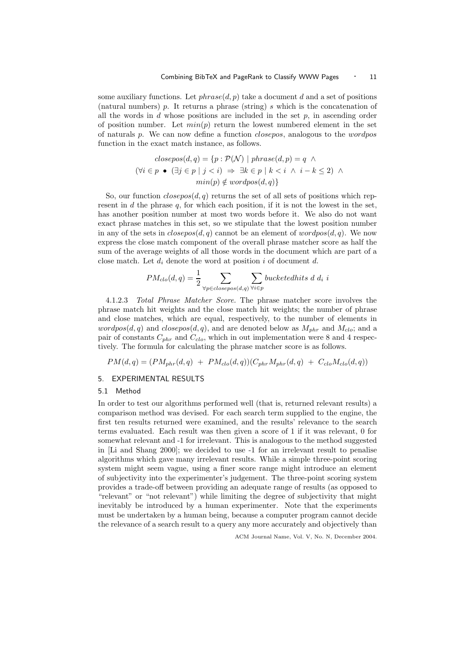some auxiliary functions. Let  $phrase(d, p)$  take a document d and a set of positions (natural numbers) p. It returns a phrase (string) s which is the concatenation of all the words in  $d$  whose positions are included in the set  $p$ , in ascending order of position number. Let  $min(p)$  return the lowest numbered element in the set of naturals p. We can now define a function closepos, analogous to the wordpos function in the exact match instance, as follows.

$$
closepos(d, q) = \{p : \mathcal{P}(\mathcal{N}) \mid phrase(d, p) = q \land
$$
  

$$
(\forall i \in p \bullet (\exists j \in p \mid j < i) \Rightarrow \exists k \in p \mid k < i \land i - k \le 2) \land
$$
  

$$
min(p) \notin wordpos(d, q)\}
$$

So, our function  $closepos(d, q)$  returns the set of all sets of positions which represent in  $d$  the phrase  $q$ , for which each position, if it is not the lowest in the set, has another position number at most two words before it. We also do not want exact phrase matches in this set, so we stipulate that the lowest position number in any of the sets in  $closepos(d, q)$  cannot be an element of  $wordpos(d, q)$ . We now express the close match component of the overall phrase matcher score as half the sum of the average weights of all those words in the document which are part of a close match. Let  $d_i$  denote the word at position i of document d.

$$
PM_{clo}(d,q) = \frac{1}{2} \sum_{\forall p \in closepos(d,q)} \sum_{\forall i \in p} bucketedhits\ d\ d_i\ i
$$

4.1.2.3 Total Phrase Matcher Score. The phrase matcher score involves the phrase match hit weights and the close match hit weights; the number of phrase and close matches, which are equal, respectively, to the number of elements in  $wordpos(d, q)$  and  $closepos(d, q)$ , and are denoted below as  $M_{phr}$  and  $M_{clo}$ ; and a pair of constants  $C_{nhr}$  and  $C_{clo}$ , which in out implementation were 8 and 4 respectively. The formula for calculating the phrase matcher score is as follows.

 $PM(d, q) = (PM_{nhr}(d, q) + PM_{clo}(d, q))(C_{nhr}M_{nhr}(d, q) + C_{clo}M_{clo}(d, q))$ 

# 5. EXPERIMENTAL RESULTS

#### 5.1 Method

In order to test our algorithms performed well (that is, returned relevant results) a comparison method was devised. For each search term supplied to the engine, the first ten results returned were examined, and the results' relevance to the search terms evaluated. Each result was then given a score of 1 if it was relevant, 0 for somewhat relevant and -1 for irrelevant. This is analogous to the method suggested in [Li and Shang 2000]; we decided to use -1 for an irrelevant result to penalise algorithms which gave many irrelevant results. While a simple three-point scoring system might seem vague, using a finer score range might introduce an element of subjectivity into the experimenter's judgement. The three-point scoring system provides a trade-off between providing an adequate range of results (as opposed to "relevant" or "not relevant") while limiting the degree of subjectivity that might inevitably be introduced by a human experimenter. Note that the experiments must be undertaken by a human being, because a computer program cannot decide the relevance of a search result to a query any more accurately and objectively than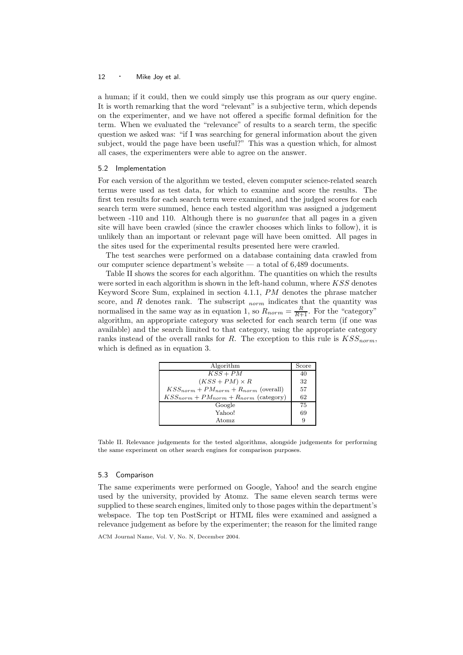a human; if it could, then we could simply use this program as our query engine. It is worth remarking that the word "relevant" is a subjective term, which depends on the experimenter, and we have not offered a specific formal definition for the term. When we evaluated the "relevance" of results to a search term, the specific question we asked was: "if I was searching for general information about the given subject, would the page have been useful?" This was a question which, for almost all cases, the experimenters were able to agree on the answer.

#### 5.2 Implementation

For each version of the algorithm we tested, eleven computer science-related search terms were used as test data, for which to examine and score the results. The first ten results for each search term were examined, and the judged scores for each search term were summed, hence each tested algorithm was assigned a judgement between -110 and 110. Although there is no guarantee that all pages in a given site will have been crawled (since the crawler chooses which links to follow), it is unlikely than an important or relevant page will have been omitted. All pages in the sites used for the experimental results presented here were crawled.

The test searches were performed on a database containing data crawled from our computer science department's website — a total of 6,489 documents.

Table II shows the scores for each algorithm. The quantities on which the results were sorted in each algorithm is shown in the left-hand column, where  $KSS$  denotes Keyword Score Sum, explained in section 4.1.1, PM denotes the phrase matcher score, and  $R$  denotes rank. The subscript  $_{norm}$  indicates that the quantity was normalised in the same way as in equation 1, so  $R_{norm} = \frac{R}{R+1}$ . For the "category" algorithm, an appropriate category was selected for each search term (if one was available) and the search limited to that category, using the appropriate category ranks instead of the overall ranks for R. The exception to this rule is  $KSS_{norm}$ , which is defined as in equation 3.

| Algorithm                                      | Score |
|------------------------------------------------|-------|
| $KSS+PM$                                       | 40    |
| $(KSS+PM) \times R$                            | 32    |
| $KSS_{norm} + PM_{norm} + R_{norm}$ (overall)  | 57    |
| $KSS_{norm} + PM_{norm} + R_{norm}$ (category) | 62    |
| Google                                         | 75    |
| Yahoo!                                         | 69    |
| Atomz                                          | q     |

Table II. Relevance judgements for the tested algorithms, alongside judgements for performing the same experiment on other search engines for comparison purposes.

#### 5.3 Comparison

The same experiments were performed on Google, Yahoo! and the search engine used by the university, provided by Atomz. The same eleven search terms were supplied to these search engines, limited only to those pages within the department's webspace. The top ten PostScript or HTML files were examined and assigned a relevance judgement as before by the experimenter; the reason for the limited range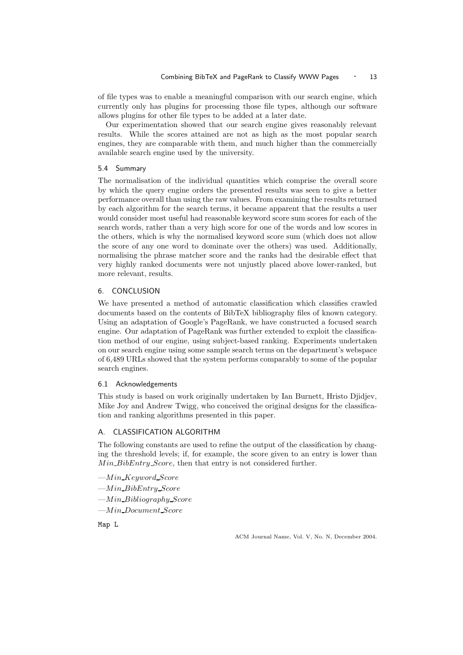of file types was to enable a meaningful comparison with our search engine, which currently only has plugins for processing those file types, although our software allows plugins for other file types to be added at a later date.

Our experimentation showed that our search engine gives reasonably relevant results. While the scores attained are not as high as the most popular search engines, they are comparable with them, and much higher than the commercially available search engine used by the university.

#### 5.4 Summary

The normalisation of the individual quantities which comprise the overall score by which the query engine orders the presented results was seen to give a better performance overall than using the raw values. From examining the results returned by each algorithm for the search terms, it became apparent that the results a user would consider most useful had reasonable keyword score sum scores for each of the search words, rather than a very high score for one of the words and low scores in the others, which is why the normalised keyword score sum (which does not allow the score of any one word to dominate over the others) was used. Additionally, normalising the phrase matcher score and the ranks had the desirable effect that very highly ranked documents were not unjustly placed above lower-ranked, but more relevant, results.

# 6. CONCLUSION

We have presented a method of automatic classification which classifies crawled documents based on the contents of BibTeX bibliography files of known category. Using an adaptation of Google's PageRank, we have constructed a focused search engine. Our adaptation of PageRank was further extended to exploit the classification method of our engine, using subject-based ranking. Experiments undertaken on our search engine using some sample search terms on the department's webspace of 6,489 URLs showed that the system performs comparably to some of the popular search engines.

### 6.1 Acknowledgements

This study is based on work originally undertaken by Ian Burnett, Hristo Djidjev, Mike Joy and Andrew Twigg, who conceived the original designs for the classification and ranking algorithms presented in this paper.

# A. CLASSIFICATION ALGORITHM

The following constants are used to refine the output of the classification by changing the threshold levels; if, for example, the score given to an entry is lower than Min BibEntry Score, then that entry is not considered further.

- $-Min$ Keyword\_Score
- —Min BibEntry Score
- $-Min_B$ *ibliography* Score
- —Min Document Score

Map L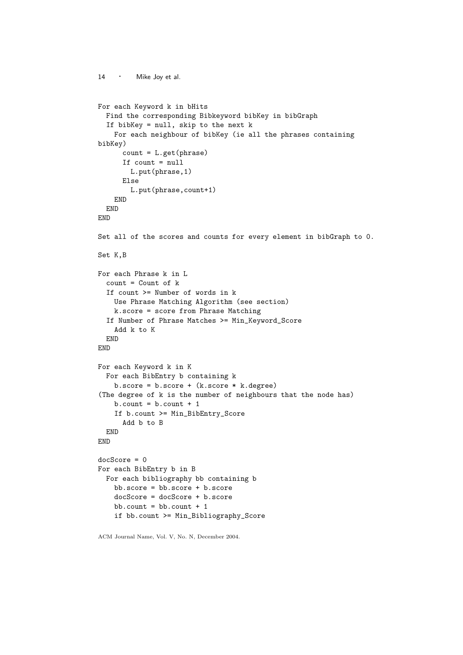```
14 · Mike Joy et al.
For each Keyword k in bHits
 Find the corresponding Bibkeyword bibKey in bibGraph
 If bibKey = null, skip to the next k
   For each neighbour of bibKey (ie all the phrases containing
bibKey)
      count = L.get(phrase)If count = null
       L.put(phrase,1)
     Else
       L.put(phrase,count+1)
   END
 END
END
Set all of the scores and counts for every element in bibGraph to 0.
Set K,B
For each Phrase k in L
 count = Count of k
 If count >= Number of words in k
   Use Phrase Matching Algorithm (see section)
   k.score = score from Phrase Matching
 If Number of Phrase Matches >= Min_Keyword_Score
   Add k to K
 END
END
For each Keyword k in K
 For each BibEntry b containing k
   b.score = b.score + (k.score * k.degree)
(The degree of k is the number of neighbours that the node has)
   b.count = b.count + 1If b.count >= Min_BibEntry_Score
      Add b to B
 END
END
docScore = 0
For each BibEntry b in B
 For each bibliography bb containing b
   bb.score = bb.score + b.score
   docScore = docScore + b.score
   bb.count = bb.count + 1if bb.count >= Min_Bibliography_Score
```